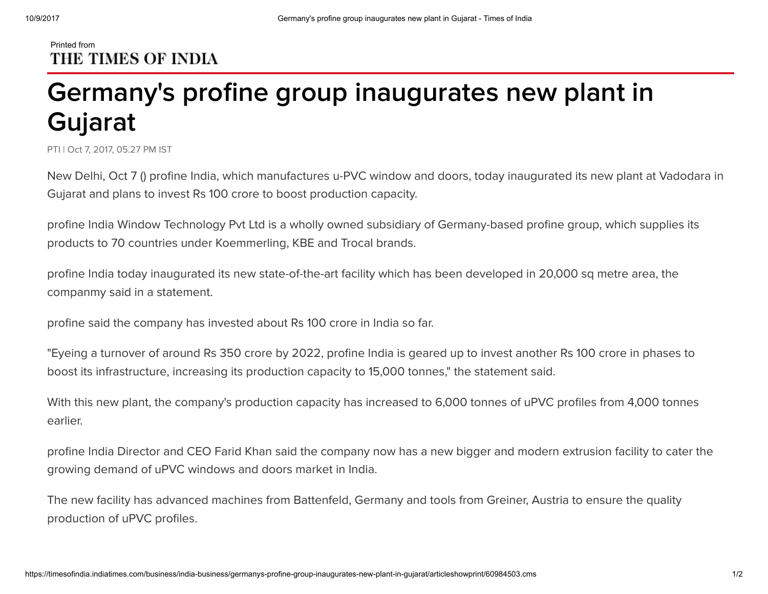## Printed from THE TIMES OF INDIA

## Germany's profine group inaugurates new plant in Gujarat

PTI | Oct 7, 2017, 05.27 PM IST

New Delhi, Oct 7 () profine India, which manufactures u-PVC window and doors, today inaugurated its new plant at Vadodara in Gujarat and plans to invest Rs 100 crore to boost production capacity.

profine India Window Technology Pvt Ltd is a wholly owned subsidiary of Germany-based profine group, which supplies its products to 70 countries under Koemmerling, KBE and Trocal brands.

profine India today inaugurated its new state-of-the-art facility which has been developed in 20,000 sq metre area, the companmy said in a statement.

profine said the company has invested about Rs 100 crore in India so far.

"Eyeing a turnover of around Rs 350 crore by 2022, profine India is geared up to invest another Rs 100 crore in phases to boost its infrastructure, increasing its production capacity to 15,000 tonnes," the statement said.

With this new plant, the company's production capacity has increased to 6,000 tonnes of uPVC profiles from 4,000 tonnes earlier.

profine India Director and CEO Farid Khan said the company now has a new bigger and modern extrusion facility to cater the growing demand of uPVC windows and doors market in India.

The new facility has advanced machines from Battenfeld, Germany and tools from Greiner, Austria to ensure the quality production of uPVC profiles.